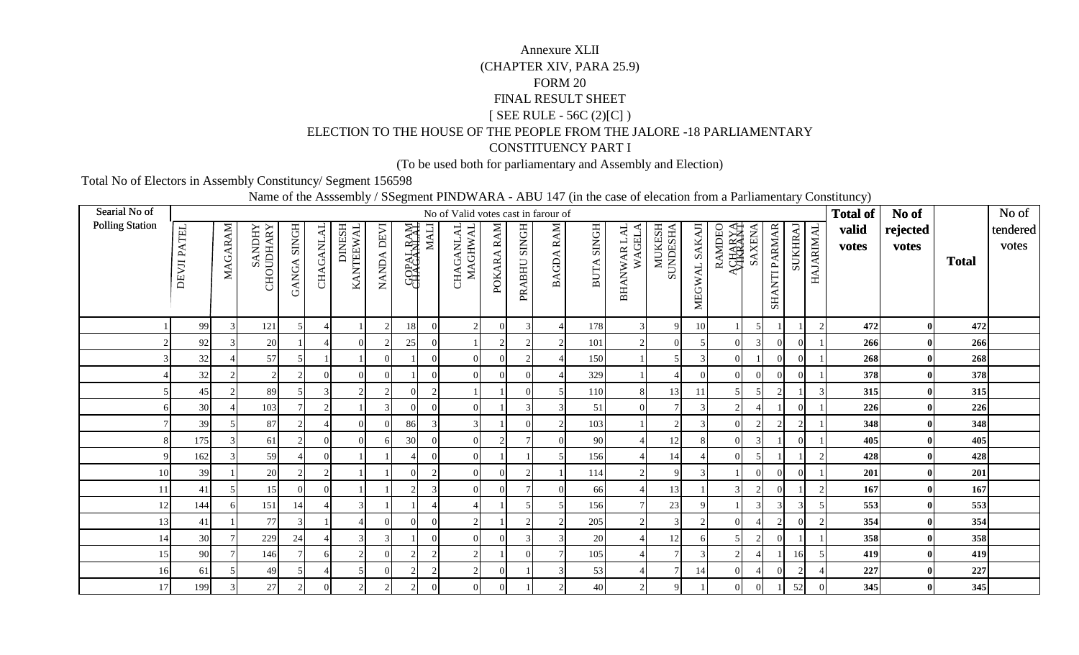## FINAL RESULT SHEET [ SEE RULE - 56C (2)[C] )FORM 20(CHAPTER XIV, PARA 25.9) Annexure XLIICONSTITUENCY PART IELECTION TO THE HOUSE OF THE PEOPLE FROM THE JALORE -18 PARLIAMENTARY

(To be used both for parliamentary and Assembly and Election)

Total No of Electors in Assembly Constituncy/ Segment 156598

Name of the Asssembly / SSegment PINDWARA - ABU 147 (in the case of elecation from a Parliamentary Constituncy)

| Searial No of          |             |         |                      |                             |                          |                     |            |                  |                | No of Valid votes cast in farour of |                             |              |                  |              |                       |                    |               |                |               |                      |                             |               | <b>Total of</b> | No of        |              | No of    |
|------------------------|-------------|---------|----------------------|-----------------------------|--------------------------|---------------------|------------|------------------|----------------|-------------------------------------|-----------------------------|--------------|------------------|--------------|-----------------------|--------------------|---------------|----------------|---------------|----------------------|-----------------------------|---------------|-----------------|--------------|--------------|----------|
| <b>Polling Station</b> |             |         |                      | <b>SINGH</b>                |                          | DINESH<br>KANTEEWAL |            |                  | <b>MALI</b>    | CHAGANLAL<br>MAGHWAL                |                             |              |                  | <b>SINGH</b> | BHANWAR LAL<br>WAGELA | MUKESH<br>SUNDESHA |               | ACHARYA        |               |                      |                             |               | valid           | rejected     |              | tendered |
|                        |             |         | <b><i>SANDHY</i></b> |                             |                          |                     |            |                  |                |                                     |                             |              |                  |              |                       |                    |               | RAMDEO         | <b>SAXENA</b> |                      |                             |               | votes           | votes        |              | votes    |
|                        | DEVJI PATEL | MAGARAM | CHOUDHARY            |                             | <b>CHAGANLAL</b>         |                     | NANDA DEVI | <b>SOPAL RAM</b> |                |                                     | POKARA RAM                  | PRABHU SINGH | <b>BAGDA RAM</b> |              |                       |                    |               |                |               |                      | SUKHRAJ                     | HAJARIMAL     |                 |              | <b>Total</b> |          |
|                        |             |         |                      | <b>GANGA</b>                |                          |                     |            |                  |                |                                     |                             |              |                  | <b>BUTA</b>  |                       |                    |               |                |               |                      |                             |               |                 |              |              |          |
|                        |             |         |                      |                             |                          |                     |            |                  |                |                                     |                             |              |                  |              |                       |                    | MEGWAL SAKAJI |                |               | <b>SHANTI PARMAR</b> |                             |               |                 |              |              |          |
|                        |             |         |                      |                             |                          |                     |            |                  |                |                                     |                             |              |                  |              |                       |                    |               |                |               |                      |                             |               |                 |              |              |          |
|                        | 99          |         | 121                  |                             | 4                        |                     |            | 18               | $\Omega$       |                                     | $\Omega$                    |              |                  | 178          |                       | $\mathbf Q$        | 10            |                |               |                      |                             | $\mathcal{D}$ | 472             | $\mathbf{0}$ | 472          |          |
|                        | 92          |         | $20\,$               |                             |                          |                     |            | 25               | $\Omega$       |                                     | $\mathcal{D}_{\mathcal{L}}$ |              |                  | 101          |                       | 0                  |               | $\Omega$       |               |                      | $\Omega$                    |               | 266             | $\bf{0}$     | 266          |          |
|                        | 32          |         | 57                   |                             |                          |                     |            |                  | $\Omega$       |                                     | $\Omega$                    |              |                  | 150          |                       |                    |               | $\Omega$       |               |                      | $\Omega$                    |               | 268             | $\mathbf{0}$ | 268          |          |
|                        | 32          |         | $\mathcal{D}$        | $\mathcal{D}_{\mathcal{L}}$ |                          |                     |            |                  | $\Omega$       |                                     |                             |              |                  | 329          |                       |                    |               | $\Omega$       |               |                      | $\Omega$                    |               | 378             | $\bf{0}$     | 378          |          |
|                        | 45          |         | 89                   |                             | 3                        |                     |            |                  | $\mathcal{D}$  |                                     |                             |              |                  | 110          |                       | 13                 | 11            |                |               |                      |                             |               | 315             | $\bf{0}$     | 315          |          |
|                        | 30          |         | 103                  |                             | $\mathcal{D}$            |                     |            |                  |                |                                     |                             |              |                  | 51           |                       |                    |               | $\overline{c}$ |               |                      | $\Omega$                    |               | 226             | $\bf{0}$     | 226          |          |
|                        | 39          |         | 87                   | $\mathcal{D}$               | $\overline{\mathcal{A}}$ |                     |            | 86               | 3              |                                     |                             |              |                  | 103          |                       |                    |               | $\Omega$       |               |                      | $\mathcal{D}$               |               | 348             | $\bf{0}$     | 348          |          |
|                        | 175         |         | 61                   | $\mathcal{D}$               | $\Omega$                 |                     |            | 30               |                | $\Omega$                            | $\gamma$                    |              |                  | 90           |                       | 12                 |               | $\Omega$       |               |                      | $\Omega$                    |               | 405             | $\mathbf{0}$ | 405          |          |
| q                      | 162         |         | 59                   |                             | $\Omega$                 |                     |            |                  | $\Omega$       |                                     |                             |              |                  | 156          |                       | 14                 |               | $\Omega$       |               |                      |                             | $\mathcal{D}$ | 428             | $\mathbf{0}$ | 428          |          |
| 10                     | 39          |         | 20                   |                             | $\mathcal{D}$            |                     |            |                  |                |                                     |                             |              |                  | 114          |                       | a                  |               |                | $\Omega$      |                      | $\Omega$                    |               | 201             | $\bf{0}$     | 201          |          |
| 11                     | 41          |         | 15                   | $\Omega$                    |                          |                     |            |                  |                |                                     | $\Omega$                    |              |                  | 66           |                       | 13                 |               | $\mathcal{R}$  |               |                      |                             |               | 167             | $\bf{0}$     | 167          |          |
| 12                     | 144         |         | 151                  | 14                          |                          |                     |            |                  |                |                                     |                             |              |                  | 156          |                       | $23\,$             |               |                |               |                      |                             |               | 553             | $\mathbf{0}$ | 553          |          |
| 13                     | 41          |         | 77                   | 3                           |                          |                     |            |                  | $\Omega$       |                                     |                             |              |                  | 205          |                       |                    |               | $\Omega$       |               |                      | $\Omega$                    |               | 354             | $\bf{0}$     | 354          |          |
| 14                     | 30          |         | 229                  | 24                          |                          |                     |            |                  | $\Omega$       |                                     |                             |              |                  | 20           |                       | 12                 |               |                |               |                      |                             |               | 358             | $\bf{0}$     | 358          |          |
| 15                     | 90          |         | 146                  |                             | 6                        |                     |            |                  | $\overline{c}$ |                                     |                             |              |                  | 105          |                       |                    |               | $\overline{c}$ |               |                      | 16                          |               | 419             | $\mathbf{0}$ | 419          |          |
| 16                     | 61          |         | 49                   |                             |                          |                     |            |                  | 2              |                                     | $\Omega$                    |              |                  | 53           |                       |                    | 14            | $\Omega$       |               |                      | $\mathcal{D}_{\mathcal{A}}$ |               | 227             | $\mathbf{0}$ | 227          |          |
| 17                     | 199         |         | $27\,$               | $\overline{2}$              |                          |                     |            |                  |                |                                     |                             |              |                  | 40           |                       |                    |               | $\overline{0}$ | $\Omega$      |                      | 52                          |               | 345             | $\mathbf{0}$ | 345          |          |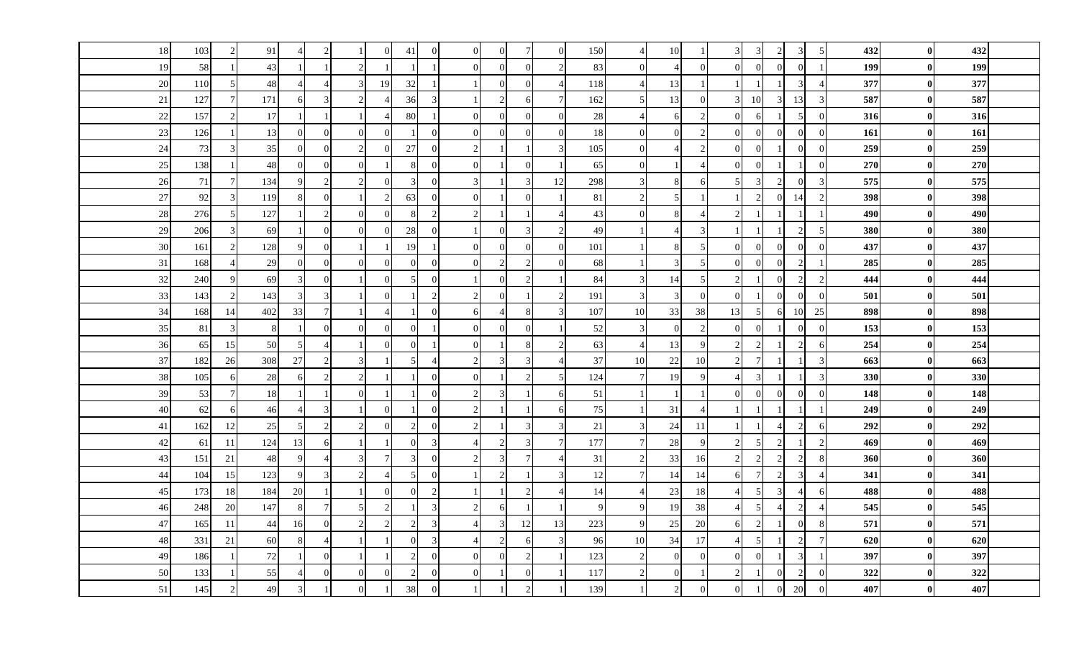| 18 | 103 |     | 91          |                        | $\overline{2}$        |                |               | 41                       | $\Omega$       | $\overline{0}$ |               |               | $\Omega$                    | 150    |                | 10             |                  | $\mathfrak{Z}$           | 3              | 2                     | 3                | -5            | 432 | $\bf{0}$         | 432 |  |
|----|-----|-----|-------------|------------------------|-----------------------|----------------|---------------|--------------------------|----------------|----------------|---------------|---------------|-----------------------------|--------|----------------|----------------|------------------|--------------------------|----------------|-----------------------|------------------|---------------|-----|------------------|-----|--|
| 19 | 58  |     | 43          |                        |                       |                |               |                          |                | $\Omega$       |               |               | $\overline{2}$              | 83     | $\Omega$       | $\overline{4}$ | $\overline{0}$   | $\Omega$                 |                | $\Omega$              | $\theta$         |               | 199 | $\bf{0}$         | 199 |  |
| 20 | 110 |     | 48          |                        | $\overline{4}$        |                | 19            | 32                       |                |                | $\Omega$      | $\Omega$      | $\overline{4}$              | 118    |                | 13             | $\vert$ 1        |                          |                |                       | 3                |               | 377 | $\bf{0}$         | 377 |  |
| 21 | 127 |     | 171         | 6                      | 3                     |                |               | 36                       | 3              |                | $\mathcal{D}$ |               | 7 <sup>1</sup>              | 162    | -5             | 13             | $\overline{0}$   | $\overline{3}$           | 10             | $\overline{3}$        | 13               | 3             | 587 | $\bf{0}$         | 587 |  |
| 22 | 157 |     | 17          |                        |                       |                |               | 80                       |                | $\Omega$       | $\Omega$      | $\Omega$      | $\Omega$                    | 28     |                | 6              | $\overline{2}$   | $\Omega$                 | 6              |                       | 5                | $\Omega$      | 316 | $\bf{0}$         | 316 |  |
| 23 | 126 |     | 13          | $\Omega$               | $\Omega$              | $\Omega$       |               |                          | $\Omega$       | $\overline{0}$ |               |               | $\Omega$                    | 18     | $\overline{0}$ | $\Omega$       | $\overline{c}$   | $\overline{0}$           | $\Omega$       | $\Omega$              | $\overline{0}$   | $\sqrt{ }$    | 161 | $\bf{0}$         | 161 |  |
| 24 | 73  |     | 35          | $\Omega$               | $\overline{0}$        | $\mathcal{D}$  |               | 27                       | $\theta$       | 2              |               |               | $\overline{3}$              | 105    | $\Omega$       | $\overline{4}$ | $\mathbf{2}$     | $\overline{0}$           | $\Omega$       |                       | $\overline{0}$   | $\Omega$      | 259 | $\bf{0}$         | 259 |  |
| 25 | 138 |     | 48          | $\overline{0}$         | $\overline{0}$        | $\Omega$       |               | 8                        | $\theta$       | $\overline{0}$ |               | $\Omega$      |                             | 65     | $\Omega$       |                | $\overline{4}$   | $\overline{0}$           |                |                       | $\mathbf{1}$     | $\Omega$      | 270 | $\bf{0}$         | 270 |  |
| 26 | 71  |     | 134         | 9                      | 2                     | $\mathfrak{D}$ |               | $\overline{3}$           | $\overline{0}$ | 3              |               | 3             | 12                          | 298    | 3              | 8              | 6                | 5                        | 3              | 2                     | $\theta$         | 3             | 575 | $\bf{0}$         | 575 |  |
| 27 | 92  |     | 119         | $\mathbf{\mathcal{R}}$ | $\overline{0}$        |                |               | 63                       | $\overline{0}$ | $\overline{0}$ |               | ∩             |                             | 81     |                | 5 <sub>l</sub> | $\mathbf{1}$     |                          | 2              | $\overline{0}$        | 14               | 2             | 398 | $\bf{0}$         | 398 |  |
| 28 | 276 |     | 127         |                        | 2                     |                |               |                          | $\overline{2}$ | $\mathcal{D}$  |               |               |                             | 43     | $\Omega$       | 8              | $\overline{4}$   | $\mathcal{D}$            |                |                       |                  |               | 490 | $\bf{0}$         | 490 |  |
| 29 | 206 |     | 69          |                        | $\overline{0}$        | $\Omega$       |               | 28                       | $\theta$       |                |               |               | $\sqrt{2}$                  | 49     |                | $\overline{4}$ | $\overline{3}$   |                          |                |                       | $\sqrt{2}$       | 5             | 380 | $\bf{0}$         | 380 |  |
| 30 | 161 |     | 128         | $\mathbf Q$            | $\theta$              |                |               | 19                       |                | $\Omega$       |               |               | $\Omega$                    | 101    |                | 8              | $5 \overline{)}$ | $\theta$                 |                | $\Omega$              | $\theta$         | $\Omega$      | 437 | $\mathbf{0}$     | 437 |  |
| 31 | 168 |     | 29          | $\overline{0}$         | $\overline{0}$        | $\Omega$       | $\Omega$      | $\overline{0}$           | $\overline{0}$ | $\overline{0}$ | $\mathcal{D}$ | $\mathcal{D}$ | $\overline{0}$              | 68     |                | $\mathfrak{Z}$ | $5\overline{)}$  | $\overline{0}$           | $\Omega$       | $\overline{0}$        | 2                |               | 285 | $\bf{0}$         | 285 |  |
| 32 | 240 |     | 69          |                        | $\Omega$              |                |               |                          | $\theta$       |                |               |               |                             | 84     |                | 14             | 5                | $\overline{c}$           |                | $\Omega$              | $\overline{2}$   | $\mathcal{D}$ | 444 | $\bf{0}$         | 444 |  |
| 33 | 143 |     | 143         |                        | 3                     |                |               |                          | $\mathcal{D}$  |                |               |               | $\mathcal{D}_{\alpha}$      | 191    |                | 3 <sup>1</sup> | $\overline{0}$   | $\Omega$                 |                | $\Omega$              | $\Omega$         | $\Omega$      | 501 | $\bf{0}$         | 501 |  |
| 34 | 168 | 14  | 402         | 33                     | $7\phantom{.0}$       |                |               |                          | $\theta$       | 6              |               |               | $\overline{3}$              | 107    | 10             | 33             | 38               | 13                       | $\overline{5}$ | 6                     | <sup>10</sup>    | 25            | 898 | $\bf{0}$         | 898 |  |
| 35 | 81  |     | $\,8\,$     |                        | $\overline{0}$        | $\Omega$       |               | $\Omega$                 |                | $\overline{0}$ |               |               |                             | 52     | 3              | $\overline{0}$ | $\overline{c}$   | $\overline{0}$           |                |                       | $\theta$         | $\Omega$      | 153 | $\boldsymbol{0}$ | 153 |  |
| 36 | 65  | 15  | 50          | $\overline{5}$         | $\overline{4}$        |                |               | $\Omega$                 |                | $\overline{0}$ |               |               | $\overline{2}$              | 63     |                | 13             | 9                | $\overline{2}$           | 2              |                       | $\overline{c}$   | -6            | 254 | $\bf{0}$         | 254 |  |
| 37 | 182 | 26  | 308         | $27\,$                 | $\overline{2}$        |                |               | 5                        | $\overline{A}$ | $\overline{2}$ |               |               | $\Delta$                    | 37     | 10             | 22             | 10               | $\overline{2}$           | $\tau$         |                       |                  | 3             | 663 | $\bf{0}$         | 663 |  |
| 38 | 105 | 6   | 28          | 6                      | $\overline{2}$        |                |               |                          | $\Omega$       | $\overline{0}$ |               |               | 5                           | 124    |                | 19             | 9                | $\overline{4}$           | $\mathcal{R}$  |                       |                  | 3             | 330 | $\bf{0}$         | 330 |  |
| 39 | 53  |     | 18          |                        | $\overline{1}$        | $\Omega$       |               |                          | $\theta$       | 2              |               |               | 6                           | 51     |                |                |                  | $\overline{0}$           | $\Omega$       | $\overline{0}$        | $\boldsymbol{0}$ | $\Omega$      | 148 | $\bf{0}$         | 148 |  |
| 40 | 62  | 6   | 46          |                        | $\mathfrak{Z}$        |                | $\Omega$      |                          | $\Omega$       | 2              |               |               | 6                           | 75     |                | 31             | $\overline{4}$   |                          |                |                       | $\overline{1}$   |               | 249 | $\bf{0}$         | 249 |  |
| 41 | 162 | 12  | 25          | 5                      | 2                     |                |               | $\overline{2}$           | $\theta$       | $\mathcal{D}$  |               |               | 3                           | $21\,$ | 3              | 24             | 11               |                          |                | $\Delta$              | 2                | 6             | 292 | $\boldsymbol{0}$ | 292 |  |
| 42 | 61  | -11 | 124         | 13                     | 6                     |                |               | $\Omega$                 | $\overline{3}$ |                |               |               | $7\phantom{.0}$             | 177    |                | 28             | 9                | $\overline{2}$           |                | $\overline{c}$        |                  | $\mathcal{D}$ | 469 | $\bf{0}$         | 469 |  |
| 43 | 151 | 21  | $\sqrt{48}$ | $\mathbf Q$            | $\boldsymbol{\Delta}$ |                |               | 3                        | $\Omega$       |                |               |               |                             | 31     |                | 33             | 16               | $\mathfrak{D}$           |                | 2                     | 2                |               | 360 | $\bf{0}$         | 360 |  |
| 44 | 104 | 15  | 123         | 9                      | 3                     |                |               | 5                        | $\overline{0}$ |                |               |               | 3                           | 12     |                | 14             | 14               | 6                        |                | $\sqrt{2}$            | $\mathfrak{Z}$   |               | 341 | $\vert$ 0        | 341 |  |
| 45 | 173 | 18  | 184         | 20                     |                       |                |               | $\Omega$                 | $\overline{c}$ |                |               |               | $\boldsymbol{\vartriangle}$ | 14     |                | 23             | 18               | $\boldsymbol{\Delta}$    |                | $\mathbf{3}$          | $\overline{A}$   |               | 488 | $\bf{0}$         | 488 |  |
| 46 | 248 | 20  | 147         | 8                      | $7\phantom{.0}$       |                | $\mathcal{D}$ |                          | 3              | $\mathcal{D}$  |               |               |                             | 9      | $\mathbf Q$    | 19             | 38               | $\overline{4}$           | $\overline{5}$ | $\boldsymbol{\Delta}$ | 2                |               | 545 | $\bf{0}$         | 545 |  |
| 47 | 165 | -11 | 44          | 16                     | $\overline{0}$        |                |               | $\overline{\mathcal{L}}$ | 3              |                |               | 12            | 13                          | 223    | $\mathbf Q$    | 25             | 20               | 6                        | $\mathcal{L}$  |                       | $\overline{0}$   |               | 571 | $\bf{0}$         | 571 |  |
| 48 | 331 | 21  | 60          | 8                      | $\overline{A}$        |                |               | $\Omega$                 | 3              |                |               |               | $\overline{3}$              | 96     | 10             | 34             | 17               | $\overline{\mathcal{A}}$ |                |                       | 2                |               | 620 | $\bf{0}$         | 620 |  |
| 49 | 186 |     | $72\,$      |                        | $\overline{0}$        |                |               | $\overline{2}$           | $\Omega$       | $\Omega$       |               |               |                             | 123    | 2              | $\overline{0}$ | $\overline{0}$   | $\overline{0}$           | $\Omega$       |                       | $\mathfrak{Z}$   |               | 397 | $\bf{0}$         | 397 |  |
| 50 | 133 |     | 55          |                        | $\overline{0}$        | $\Omega$       |               | $\mathfrak{D}$           | $\Omega$       | $\Omega$       |               |               |                             | 117    |                | $\overline{0}$ | $\overline{1}$   | 2                        |                | $\Omega$              | 2                | $\Omega$      | 322 | $\bf{0}$         | 322 |  |
| 51 | 145 |     | 49          | 3                      |                       |                |               | 38                       | $\Omega$       |                |               |               |                             | 139    |                | $\overline{2}$ | $\overline{0}$   | $\Omega$                 |                | $\overline{0}$        | 20               | $\Omega$      | 407 | $\bf{0}$         | 407 |  |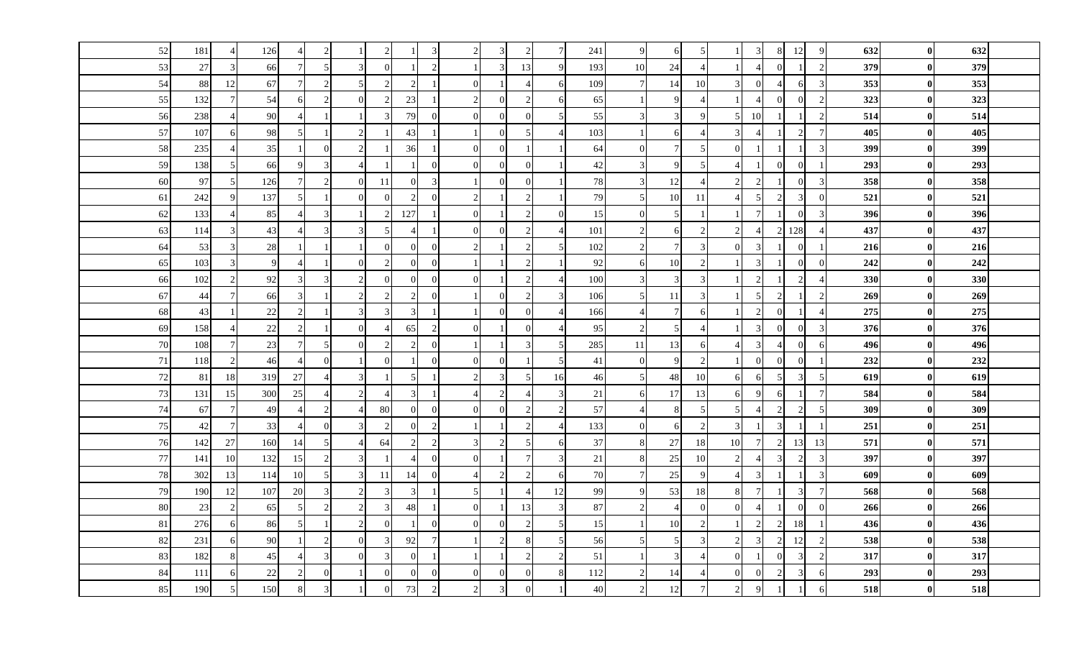| 52     | 181    |                | 126            | $\overline{4}$           | $\overline{c}$           |                             |           |               | $\mathbf{3}$    |                |                |    |    | 241 | 9                           | 6              | 5               |                          | 3               | 8                           | 12             | -9                       | 632 | $\mathbf{0}$     | 632 |  |
|--------|--------|----------------|----------------|--------------------------|--------------------------|-----------------------------|-----------|---------------|-----------------|----------------|----------------|----|----|-----|-----------------------------|----------------|-----------------|--------------------------|-----------------|-----------------------------|----------------|--------------------------|-----|------------------|-----|--|
| 53     | $27\,$ |                | 66             | $\overline{7}$           | 5                        |                             |           |               | 2               |                |                | 13 | 9  | 193 | 10                          | 24             | $\overline{4}$  |                          |                 |                             | $\overline{1}$ | $\mathcal{D}$            | 379 | $\mathbf{0}$     | 379 |  |
| 54     | 88     | 12             | 67             | $7\phantom{.0}$          | $\overline{2}$           |                             |           |               | $\mathbf{1}$    | $\Omega$       |                |    |    | 109 | $7\phantom{.0}$             | 14             | 10              | 3                        | $\Omega$        |                             | 6              | 3                        | 353 | $\boldsymbol{0}$ | 353 |  |
| 55     | 132    |                | 54             | 6                        | $\overline{2}$           | $\Omega$                    |           | 23            | $\mathbf{1}$    | $\overline{c}$ | $\Omega$       |    |    | 65  |                             | 9              | $\overline{4}$  |                          |                 | $\Omega$                    | $\overline{0}$ | $\mathcal{D}$            | 323 | $\bf{0}$         | 323 |  |
| 56     | 238    |                | 90             |                          |                          |                             |           | 79            | $\overline{0}$  | $\overline{0}$ | $\overline{0}$ |    |    | 55  | 3                           | 3              | 9               | 5                        | 10              |                             |                | $\overline{2}$           | 514 | $\boldsymbol{0}$ | 514 |  |
| 57     | 107    | 61             | 98             | 5                        |                          |                             |           | 43            |                 |                | $\Omega$       |    |    | 103 |                             | 6              | $\overline{4}$  | 3                        |                 |                             | $\overline{2}$ | $\overline{7}$           | 405 | $\bf{0}$         | 405 |  |
| 58     | 235    |                | 35             |                          | $\overline{0}$           |                             |           | 36            | $\mathbf{1}$    | $\Omega$       | $\overline{0}$ |    |    | 64  | $\overline{0}$              |                | 5               | $\theta$                 |                 |                             | $\mathbf{1}$   | 3                        | 399 | $\bf{0}$         | 399 |  |
| 59     | 138    |                | 66             | $\mathbf{Q}$             | $\mathfrak{Z}$           | $\Delta$                    |           |               | $\overline{0}$  | $\Omega$       | $\Omega$       |    |    | 42  | 3                           | 9              | $5\overline{)}$ | $\overline{4}$           |                 | $\Omega$                    | $\overline{0}$ |                          | 293 | $\mathbf{0}$     | 293 |  |
| 60     | 97     | 5 <sub>l</sub> | 126            | $\overline{7}$           | $\overline{c}$           | $\Omega$                    | <b>11</b> | $\Omega$      | 3               |                | $\overline{0}$ |    |    | 78  | $\mathfrak{Z}$              | 12             | $\overline{4}$  | $\overline{c}$           | $\overline{2}$  |                             | $\overline{0}$ | 3                        | 358 | $\bf{0}$         | 358 |  |
| 61     | 242    |                | 137            | 5                        |                          | $\Omega$                    |           |               | $\overline{0}$  | $\overline{c}$ |                |    |    | 79  | 5                           | 10             | 11              | $\overline{\mathcal{A}}$ | 5               | $\mathcal{D}$               | $\overline{3}$ | $\Omega$                 | 521 | $\bf{0}$         | 521 |  |
| 62     | 133    |                | 85             |                          | 3                        |                             |           | 127           | -1              | $\overline{0}$ |                |    |    | 15  | $\Omega$                    |                |                 |                          |                 |                             | $\overline{0}$ |                          | 396 | $\bf{0}$         | 396 |  |
| 63     | 114    | $\mathcal{R}$  | 43             | $\overline{4}$           | $\overline{3}$           | $\mathcal{R}$               |           |               | $\mathbf{1}$    | $\Omega$       | $\Omega$       |    |    | 101 | 2                           | 6              | $\overline{2}$  | $\overline{2}$           |                 |                             | 128            | $\overline{\mathcal{A}}$ | 437 | $\mathbf{0}$     | 437 |  |
| 64     | 53     |                | 28             |                          |                          |                             |           | $\Omega$      | $\overline{0}$  | $\overline{c}$ |                |    |    | 102 | $\overline{c}$              | $\overline{7}$ | 3               | $\Omega$                 | $\mathcal{R}$   |                             | $\overline{0}$ |                          | 216 | $\boldsymbol{0}$ | 216 |  |
| 65     | 103    |                | $\overline{9}$ | $\overline{\mathcal{A}}$ |                          | $\Omega$                    |           | 0             | $\overline{0}$  |                |                |    |    | 92  | 6                           | 10             | $\overline{2}$  |                          | 3               |                             | $\overline{0}$ |                          | 242 | $\bf{0}$         | 242 |  |
| 66     | 102    |                | 92             | 3                        | 3                        | $\gamma$                    |           |               | $\overline{0}$  | $\Omega$       |                |    |    | 100 | 3                           | $\mathbf{3}$   | 3               |                          | $\mathcal{D}$   |                             | $\overline{2}$ |                          | 330 | $\bf{0}$         | 330 |  |
| 67     | 44     |                | 66             | 3                        |                          |                             |           |               | $\overline{0}$  |                | $\Omega$       |    |    | 106 | 5                           | 11             | 3               |                          | 5               |                             |                |                          | 269 | $\bf{0}$         | 269 |  |
| 68     | 43     |                | 22             | $\overline{2}$           |                          | 3                           |           | 3             | $\mathbf{1}$    |                | $\Omega$       |    |    | 166 | $\boldsymbol{\vartriangle}$ | $\tau$         | 6               |                          | $\mathcal{L}$   |                             | $\overline{1}$ | $\overline{A}$           | 275 | $\bf{0}$         | 275 |  |
| 69     | 158    |                | 22             | $\overline{c}$           |                          | $\Omega$                    |           | 65            | 2               | $\Omega$       |                |    |    | 95  | 2                           | 5              | $\overline{4}$  |                          | $\mathcal{R}$   | $\Omega$                    | $\overline{0}$ | 3                        | 376 | $\bf{0}$         | 376 |  |
| $70\,$ | 108    |                | 23             | $\overline{7}$           | $\mathfrak{S}$           | $\Omega$                    |           | $\mathcal{D}$ | $\overline{0}$  |                |                |    | 5  | 285 | $11\,$                      | 13             | $6\blacksquare$ |                          | 3               |                             | $\overline{0}$ | 6                        | 496 | $\mathbf{0}$     | 496 |  |
| $71\,$ | 118    |                | 46             | $\boldsymbol{\Delta}$    | $\theta$                 |                             | $\Omega$  |               | $\overline{0}$  | $\Omega$       | $\overline{0}$ |    | 5  | 41  | $\overline{0}$              | 9              | $\overline{2}$  |                          | $\theta$        | $\Omega$                    | $\overline{0}$ |                          | 232 | $\boldsymbol{0}$ | 232 |  |
| 72     | 81     | 18             | 319            | 27                       |                          | $\mathcal{R}$               |           |               | $\overline{1}$  | $\mathcal{D}$  |                |    | 16 | 46  | 5                           | 48             | 10              | 6                        |                 |                             | $\mathbf{3}$   |                          | 619 | $\boldsymbol{0}$ | 619 |  |
| 73     | 131    | 15             | 300            | 25                       | $\overline{4}$           | $\mathcal{D}_{\mathcal{L}}$ |           | 3             | -1              |                | $\overline{2}$ |    | 3  | 21  | 6                           | 17             | 13              | 6                        | 9               | 6                           | $\mathbf{1}$   | $\overline{7}$           | 584 | $\bf{0}$         | 584 |  |
| 74     | 67     | 7              | 49             | $\overline{4}$           | $\overline{2}$           |                             | 80        | $\Omega$      | $\overline{0}$  | $\Omega$       | $\Omega$       |    |    | 57  | $\overline{4}$              | 8              | $\overline{5}$  | 5                        |                 | $\mathcal{D}$               | $\overline{c}$ | -5                       | 309 | $\vert$ 0        | 309 |  |
| $75\,$ | 42     |                | 33             |                          | $\Omega$                 |                             |           |               | 2               |                |                |    |    | 133 | $\theta$                    | 6              | $\overline{2}$  | 3                        |                 | $\mathcal{R}$               |                |                          | 251 | $\bf{0}$         | 251 |  |
| 76     | 142    | 27             | 160            | 14                       | 5                        |                             | 64        |               | 2               |                | $\mathcal{D}$  |    |    | 37  | 8                           | 27             | 18              | $10\,$                   | $7\phantom{.0}$ | 2                           | 13             | 13                       | 571 | $\boldsymbol{0}$ | 571 |  |
| 77     | 141    | 10             | 132            | 15                       | 2                        |                             |           |               | $\overline{0}$  | $\Omega$       |                |    |    | 21  | 8                           | $25\,$         | 10              | 2                        |                 | 3                           | $\overline{2}$ | 3                        | 397 | $\boldsymbol{0}$ | 397 |  |
| $78\,$ | 302    | 13             | 114            | 10                       | 5                        | $\mathcal{R}$               | 11        | 14            | $\mathbf{0}$    |                | $\overline{2}$ |    |    | 70  | $\overline{7}$              | 25             | 9               |                          |                 |                             |                | 3                        | 609 | $\mathbf{0}$     | 609 |  |
| 79     | 190    | 12             | 107            | 20                       | 3                        | $\mathcal{L}$               |           | 3             | $\mathbf{1}$    | .5             |                |    | 12 | 99  | 9                           | 53             | 18              | 8                        |                 |                             | $\overline{3}$ | $\overline{7}$           | 568 | $\bf{0}$         | 568 |  |
| 80     | 23     |                | 65             | 5                        | $\overline{\mathcal{L}}$ | $\mathcal{D}_{\alpha}$      |           | 48            | $\overline{1}$  | $\Omega$       |                | 13 |    | 87  | $\overline{2}$              |                | $\Omega$        | $\Omega$                 |                 |                             | $\overline{0}$ | $\sqrt{ }$               | 266 | $\bf{0}$         | 266 |  |
| 81     | 276    |                | 86             | 5                        |                          | $\mathfrak{D}$              |           |               | $\overline{0}$  | $\Omega$       | $\overline{0}$ |    |    | 15  |                             | 10             | $\overline{2}$  |                          | $\mathcal{D}$   | $\mathcal{D}_{\mathcal{A}}$ | 18             |                          | 436 | $\boldsymbol{0}$ | 436 |  |
| 82     | 231    |                | 90             |                          | $\overline{2}$           | $\Omega$                    |           | 92            | $7\phantom{.0}$ |                |                |    |    | 56  |                             |                | 3               | $\overline{c}$           |                 |                             | 12             |                          | 538 | $\boldsymbol{0}$ | 538 |  |
| 83     | 182    |                | 45             |                          | $\overline{3}$           | $\Omega$                    |           | ∩             | $\mathbf{1}$    |                |                |    |    | 51  |                             | 3              | $\overline{4}$  | $\mathbf{0}$             |                 |                             | $\vert$ 3      | $\overline{c}$           | 317 | $\bf{0}$         | 317 |  |
| 84     | 111    |                | 22             | $\overline{2}$           | $\overline{0}$           |                             |           |               | $\overline{0}$  | $\Omega$       | $\Omega$       |    |    | 112 | $\overline{2}$              | 14             | $\overline{4}$  | $\overline{0}$           |                 |                             | $\mathbf{3}$   | 6                        | 293 | $\bf{0}$         | 293 |  |
| 85     | 190    |                | 150            | 8                        | 3                        |                             |           | 73            | $\overline{2}$  | $\mathcal{L}$  | $\mathbf{3}$   |    |    | 40  | $\overline{2}$              | 12             | $\overline{7}$  | $\overline{2}$           | $\mathbf Q$     |                             |                |                          | 518 | $\bf{0}$         | 518 |  |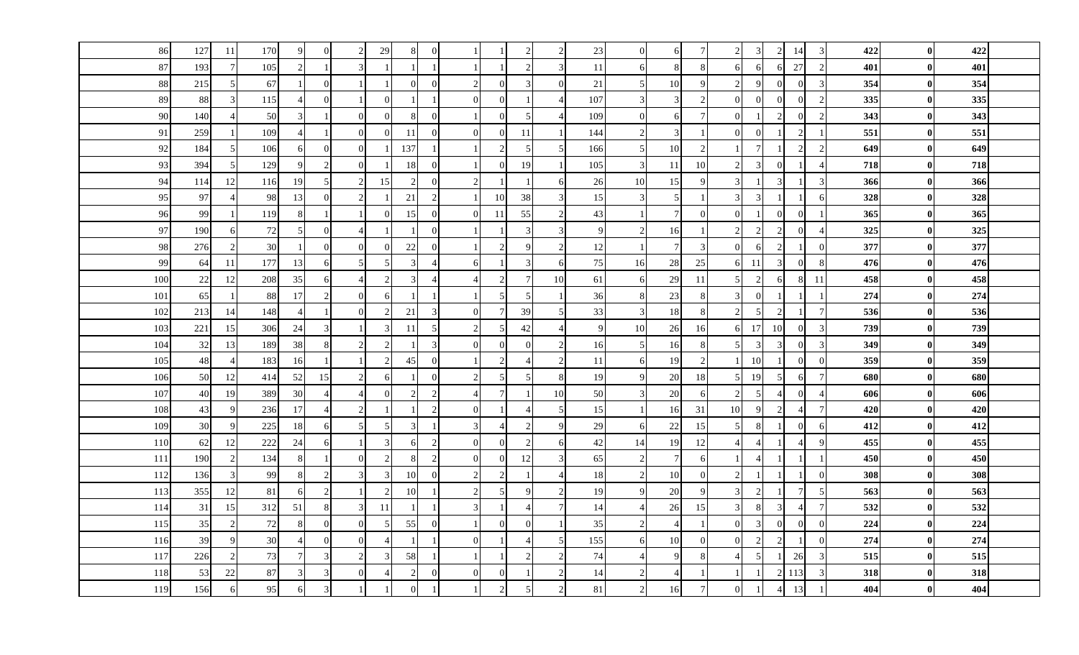| 86  | 127    | <sup>11</sup>  | 170     | 9              | $\overline{0}$ |                             | 29            |               | $\overline{0}$ |                |                             |    |                | 23  | $\Omega$       | 6              | $\overline{7}$ | $\overline{c}$ | 3              |               | 14               | 3               | 422 | $\bf{0}$         | 422 |  |
|-----|--------|----------------|---------|----------------|----------------|-----------------------------|---------------|---------------|----------------|----------------|-----------------------------|----|----------------|-----|----------------|----------------|----------------|----------------|----------------|---------------|------------------|-----------------|-----|------------------|-----|--|
| 87  | 193    |                | 105     | $\overline{c}$ |                |                             |               |               | $\mathbf{1}$   |                |                             |    | 3              | 11  | 6              | 8              | 8              | 6              |                |               | 27               | $\mathcal{D}$   | 401 | $\vert$ 0        | 401 |  |
| 88  | 215    |                | 67      |                | $\mathbf{0}$   |                             |               | $\Omega$      | $\overline{0}$ | $\mathcal{D}$  | $\Omega$                    |    | $\Omega$       | 21  | 5              | $10\,$         | 9              | $\overline{2}$ | $\mathbf Q$    |               | $\overline{0}$   | 3               | 354 | $\boldsymbol{0}$ | 354 |  |
| 89  | 88     | $\overline{3}$ | 115     |                | $\theta$       |                             |               |               | $\mathbf{1}$   | $\Omega$       | $\Omega$                    |    |                | 107 | $\mathfrak{Z}$ | $\mathcal{E}$  | $\overline{2}$ | $\Omega$       | $\Omega$       | $\Omega$      | $\overline{0}$   | $\mathcal{D}$   | 335 | $\vert$ 0        | 335 |  |
| 90  | 140    |                | 50      | 3              |                | $\Omega$                    |               |               | $\mathbf{0}$   |                | $\Omega$                    |    |                | 109 | $\overline{0}$ | 6              | $\overline{7}$ | $\theta$       |                | $\mathcal{D}$ | $\overline{0}$   |                 | 343 | $\boldsymbol{0}$ | 343 |  |
| 91  | 259    |                | 109     | 4              |                | $\Omega$                    |               | 11            | $\overline{0}$ | $\Omega$       | $\Omega$                    | 11 |                | 144 | $\mathcal{D}$  | 3              |                | $\Omega$       | $\Omega$       |               | $\overline{2}$   |                 | 551 | $\bf{0}$         | 551 |  |
| 92  | 184    |                | 106     | 6              | $\mathbf{0}$   | $\Omega$                    |               | 137           | -1             |                | $\mathcal{D}_{\mathcal{L}}$ |    |                | 166 | 5              | $10\,$         | $\overline{c}$ |                |                |               | $\overline{2}$   | $\overline{2}$  | 649 | $\bf{0}$         | 649 |  |
| 93  | 394    |                | 129     | $\mathbf{Q}$   | $\overline{2}$ | $\Omega$                    |               | 18            | $\overline{0}$ |                | $\Omega$                    | 19 |                | 105 | 3              | 11             | 10             | $\overline{c}$ | $\mathcal{R}$  | $\Omega$      |                  | $\overline{A}$  | 718 | $\mathbf{0}$     | 718 |  |
| 94  | 114    | 12             | 116     | 19             | 5              | $\mathcal{D}_{\alpha}$      | 15            | $\mathcal{D}$ | $\overline{0}$ | $\overline{2}$ |                             |    |                | 26  | 10             | 15             | 9              | 3              |                | 3             |                  | $\overline{3}$  | 366 | $\bf{0}$         | 366 |  |
| 95  | 97     |                | 98      | 13             | $\Omega$       | $\mathcal{D}_{\mathcal{L}}$ |               | 21            | 2              |                | 10                          | 38 |                | 15  | 3              | 5              |                | 3              | $\mathcal{R}$  |               | $\mathbf{1}$     | 6               | 328 | $\bf{0}$         | 328 |  |
| 96  | 99     |                | 119     | 8              |                |                             |               | 15            | $\overline{0}$ | $\Omega$       | 11                          | 55 |                | 43  |                |                | $\Omega$       | $\theta$       |                |               | $\overline{0}$   |                 | 365 | $\boldsymbol{0}$ | 365 |  |
| 97  | 190    | 61             | 72      | 5              | $\overline{0}$ |                             |               |               | $\overline{0}$ |                |                             |    |                | 9   | 2              | 16             |                | $\overline{2}$ | $\overline{2}$ |               | $\overline{0}$   | $\overline{A}$  | 325 | $\mathbf{0}$     | 325 |  |
| 98  | 276    |                | 30      |                | $\mathbf{0}$   | $\Omega$                    |               | 22            | $\mathbf{0}$   |                | $\mathcal{D}$               |    |                | 12  |                | $\overline{7}$ | 3              | $\Omega$       |                |               | $\mathbf{1}$     |                 | 377 | $\boldsymbol{0}$ | 377 |  |
| 99  | 64     | <sup>11</sup>  | 177     | 13             | 6              | $\overline{5}$              |               |               | $\overline{4}$ |                |                             |    |                | 75  | 16             | 28             | 25             | 6              | -11            | $\mathcal{R}$ | $\overline{0}$   |                 | 476 | $\bf{0}$         | 476 |  |
| 100 | $22\,$ | 12             | 208     | 35             | 6              |                             |               |               | $\overline{4}$ |                | $\mathcal{D}$               |    | 10             | 61  | 6              | 29             | 11             | 5              |                | 6             | 8                | 11              | 458 | $\bf{0}$         | 458 |  |
| 101 | 65     |                | 88      | 17             | $\mathcal{D}$  |                             |               |               | $\overline{1}$ |                |                             |    |                | 36  | 8              | $23\,$         |                | 3              | $\Omega$       |               |                  |                 | 274 | $\bf{0}$         | 274 |  |
| 102 | 213    | 14             | 148     | $\overline{4}$ |                | $\Omega$                    |               | 21            | $\mathbf{3}$   | $\Omega$       | 7                           | 39 |                | 33  | 3              | 18             | 8              | $\overline{2}$ | $\overline{5}$ | $\mathcal{D}$ | $\overline{1}$   | $\overline{7}$  | 536 | $\bf{0}$         | 536 |  |
| 103 | 221    | 15             | 306     | 24             | 3              |                             |               | 11            | $\overline{5}$ | $\mathcal{D}$  |                             | 42 |                | 9   | 10             | 26             | 16             | 6              | 17             | 10            | $\overline{0}$   | 3               | 739 | $\bf{0}$         | 739 |  |
| 104 | 32     | 13             | 189     | 38             | 8              | $\mathcal{D}_{\alpha}$      |               |               | $\overline{3}$ | $\overline{0}$ | $\overline{0}$              |    |                | 16  | 5              | 16             | 8              | 5              | 3              | 3             | $\overline{0}$   | 3               | 349 | $\bf{0}$         | 349 |  |
| 105 | 48     |                | 183     | 16             |                |                             |               | 45            | $\overline{0}$ |                | $\mathcal{D}_{\cdot}$       |    |                | 11  | 6              | 19             | $\mathfrak{D}$ |                | 10             |               | $\overline{0}$   | $\Omega$        | 359 | $\boldsymbol{0}$ | 359 |  |
| 106 | 50     | 12             | 414     | 52             | 15             |                             | 6             |               | $\mathbf{0}$   | $\mathcal{D}$  |                             |    |                | 19  | 9              | 20             | 18             | 5              | 19             |               | 6                | $\overline{7}$  | 680 | $\boldsymbol{0}$ | 680 |  |
| 107 | 40     | 19             | 389     | 30             | $\overline{4}$ |                             |               |               | $\overline{2}$ |                | $\tau$                      |    | 10             | 50  | 3              | 20             | 6              | $\overline{2}$ | .5             |               | $\overline{0}$   | $\overline{4}$  | 606 | $\boldsymbol{0}$ | 606 |  |
| 108 | 43     | $\mathbf Q$    | 236     | 17             | $\overline{4}$ |                             |               |               | $\overline{2}$ | $\Omega$       |                             |    | $\overline{5}$ | 15  |                | 16             | 31             | 10             | $\mathbf Q$    | $\mathcal{D}$ | $\overline{4}$   | $7\phantom{.0}$ | 420 | $\vert$ 0        | 420 |  |
| 109 | 30     |                | $225\,$ | 18             | 6              |                             |               |               | $\overline{1}$ |                |                             |    |                | 29  | 6              | $22\,$         | 15             | 5              | 8              |               | $\overline{0}$   | 6               | 412 | $\bf{0}$         | 412 |  |
| 110 | 62     | 12             | 222     | 24             | 6              |                             | $\mathcal{R}$ |               | $\overline{2}$ | $\Omega$       | $\Omega$                    |    |                | 42  | 14             | 19             | 12             |                |                |               | $\overline{4}$   | $\mathbf Q$     | 455 | $\vert$ 0        | 455 |  |
| 111 | 190    |                | 134     | 8              |                | $\Omega$                    |               |               | 2              | $\Omega$       | $\overline{0}$              | 12 |                | 65  | 2              | $\tau$         | 6              |                |                |               | $\mathbf{1}$     |                 | 450 | $\boldsymbol{0}$ | 450 |  |
| 112 | 136    |                | 99      | 8              | $\overline{c}$ | $\mathcal{L}$               |               | 10            | $\mathbf{0}$   |                | $\mathcal{D}_{\cdot}$       |    |                | 18  | 2              | 10             | $\Omega$       | $\overline{c}$ |                |               |                  | $\Omega$        | 308 | $\mathbf{0}$     | 308 |  |
| 113 | 355    | 12             | 81      | 6              | $\overline{c}$ |                             |               | 10            | $\overline{1}$ |                |                             |    |                | 19  | 9              | 20             | 9              | 3              |                |               | $7 \overline{ }$ | 5               | 563 | $\bf{0}$         | 563 |  |
| 114 | 31     | 15             | 312     | 51             | 8              | $\mathcal{F}$               | -11           |               | $\overline{1}$ | $\mathcal{R}$  |                             |    |                | 14  |                | 26             | 15             | 3              | 8              | $\mathcal{R}$ | $\overline{4}$   | $\overline{7}$  | 532 | $\boldsymbol{0}$ | 532 |  |
| 115 | 35     |                | 72      | 8              | $\theta$       | $\Omega$                    |               | 55            | $\overline{0}$ |                | $\overline{0}$              |    |                | 35  | $\mathfrak{D}$ |                |                | $\theta$       |                | $\Omega$      | $\overline{0}$   | $\Omega$        | 224 | $\boldsymbol{0}$ | 224 |  |
| 116 | 39     |                | 30      | $\Delta$       | $\Omega$       | $\Omega$                    |               |               | $\overline{1}$ | $\Omega$       |                             |    |                | 155 | 6              | 10             | $\Omega$       | $\Omega$       | $\mathcal{L}$  |               |                  |                 | 274 | $\boldsymbol{0}$ | 274 |  |
| 117 | 226    |                | 73      | 7              | 3              | $\mathcal{D}$               |               | 58            |                |                |                             |    |                | 74  |                | 9              | 8              |                | .5             |               | 26               |                 | 515 | $\bf{0}$         | 515 |  |
| 118 | 53     | 22             | $87\,$  | 3              | 3              | $\Omega$                    |               |               | $\mathbf{0}$   | $\Omega$       | $\Omega$                    |    |                | 14  | $\overline{2}$ |                |                |                |                |               | 113              |                 | 318 | $\bf{0}$         | 318 |  |
| 119 | 156    |                | 95      | 6              | 3              |                             |               |               |                |                | $\mathcal{D}$               |    |                | 81  | $\overline{c}$ | 16             | $\overline{7}$ | $\overline{0}$ |                |               | 13               |                 | 404 | $\boldsymbol{0}$ | 404 |  |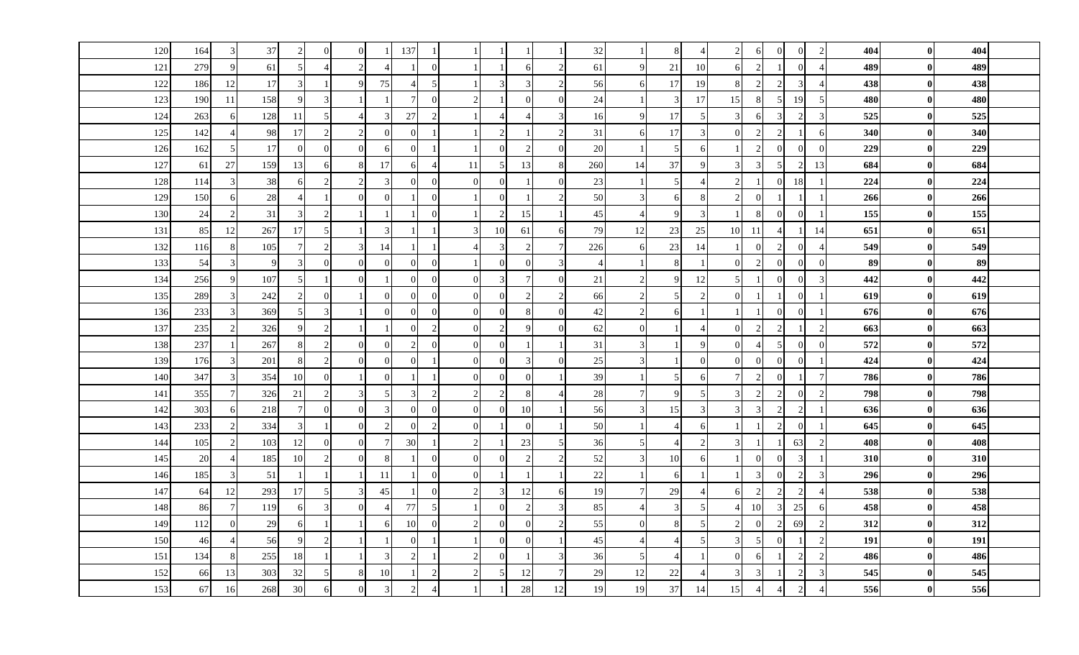| 120 | 164 |               | 37     | $\overline{2}$ | $\Omega$       | $\Omega$      |                         | 137                      |                |                |               |          |                             | 32     |                 | 8                        | $\overline{4}$           | 2              | 6             | $\Omega$                 | $\overline{0}$ | 2              | 404 | $\bf{0}$     | 404 |  |
|-----|-----|---------------|--------|----------------|----------------|---------------|-------------------------|--------------------------|----------------|----------------|---------------|----------|-----------------------------|--------|-----------------|--------------------------|--------------------------|----------------|---------------|--------------------------|----------------|----------------|-----|--------------|-----|--|
| 121 | 279 |               | 61     | 5              | $\overline{A}$ |               |                         |                          | $\Omega$       |                |               |          | 2                           | 61     | $\mathbf Q$     | 21                       | 10                       | 6              |               |                          | $\overline{0}$ |                | 489 | $\bf{0}$     | 489 |  |
| 122 | 186 | -12           | 17     | 3              |                | $\mathbf Q$   | 75                      | $\overline{\mathcal{A}}$ | 5              |                |               |          | $\mathcal{D}_{\mathcal{L}}$ | 56     | -6              | 17                       | 19                       | 8              | $\gamma$      | $\mathcal{D}$            | 3              |                | 438 | $\bf{0}$     | 438 |  |
| 123 | 190 | -11           | 158    | $\mathbf Q$    | 3              |               |                         | 7 <sup>1</sup>           | $\overline{0}$ | 2              |               |          | $\Omega$                    | 24     |                 | $\vert$ 3                | 17                       | 15             |               | $5\overline{)}$          | 19             | $\overline{5}$ | 480 | $\bf{0}$     | 480 |  |
| 124 | 263 |               | 128    | 11             | 5              |               |                         | 27                       | 2              |                |               |          |                             | 16     | 9               | 17                       | 5                        | $\overline{3}$ |               | 3                        | 2              |                | 525 | $\bf{0}$     | 525 |  |
| 125 | 142 |               | 98     | 17             | $\mathcal{D}$  |               |                         | $\Omega$                 |                |                |               |          | $\mathcal{D}$               | 31     | 6               | 17                       | 3                        | $\Omega$       |               | $\mathcal{D}$            |                |                | 340 | $\bf{0}$     | 340 |  |
| 126 | 162 |               | 17     | $\Omega$       | $\overline{0}$ | $\Omega$      |                         | $\Omega$                 |                |                |               |          | $\overline{0}$              | 20     | -1              | $5\overline{)}$          | 6                        |                | $\mathcal{D}$ | $\Omega$                 | $\overline{0}$ |                | 229 | $\bf{0}$     | 229 |  |
| 127 | 61  | 27            | 159    | 13             | 6              |               | 17                      | 61                       | $\overline{4}$ | 11             |               | 13       | 8                           | 260    | 14              | 37                       | 9                        | 3              | $\mathcal{R}$ | $\overline{5}$           | $\overline{c}$ | 13             | 684 | $\bf{0}$     | 684 |  |
| 128 | 114 | $\mathcal{R}$ | 38     | 6              | 2              |               | 3                       | $\Omega$                 | $\overline{0}$ | $\overline{0}$ |               |          | $\Omega$                    | 23     |                 | 5 <sub>l</sub>           | $\boldsymbol{\Delta}$    | $\overline{2}$ |               | $\Omega$                 | 18             |                | 224 | $\bf{0}$     | 224 |  |
| 129 | 150 | 6             | $28\,$ |                |                | $\Omega$      | $\Omega$                |                          | $\overline{0}$ |                | $\Omega$      |          | $\mathcal{D}_{\alpha}$      | 50     | 3               | 6                        | 8                        | $\overline{2}$ | $\Omega$      |                          |                |                | 266 | $\bf{0}$     | 266 |  |
| 130 | 24  |               | 31     | 3              | $\mathcal{L}$  |               |                         |                          | $\Omega$       |                |               | 15       |                             | 45     |                 | 9                        | 3                        |                |               |                          | $\overline{0}$ |                | 155 | $\bf{0}$     | 155 |  |
| 131 | 85  | 12            | 267    | 17             | 5              |               | 3                       |                          |                |                | 10            | 61       | 6                           | 79     | 12              | 23                       | 25                       | 10             | 11            | $\overline{\mathcal{A}}$ | $\overline{1}$ | 14             | 651 | $\bf{0}$     | 651 |  |
| 132 | 116 |               | 105    | $\overline{7}$ | 2              |               | 14                      |                          |                |                |               |          | $7 \,$                      | 226    | 6               | 23                       | 14                       |                |               | $\mathcal{D}$            | $\theta$       |                | 549 | $\bf{0}$     | 549 |  |
| 133 | 54  |               | 9      | 3              | $\overline{0}$ | $\Omega$      |                         | $\Omega$                 | $\mathbf{0}$   |                | $\Omega$      |          | $\mathcal{R}$               |        |                 | 8                        | $\mathbf{1}$             | $\Omega$       | $\mathcal{D}$ | $\Omega$                 | $\mathbf{0}$   |                | 89  | $\bf{0}$     | 89  |  |
| 134 | 256 |               | 107    | $\overline{5}$ |                | $\Omega$      |                         | $\Omega$                 | $\overline{0}$ | $\overline{0}$ |               |          | $\Omega$                    | 21     | $\overline{2}$  | 9                        | 12                       | 5              |               | $\Omega$                 | $\overline{0}$ |                | 442 | $\bf{0}$     | 442 |  |
| 135 | 289 |               | 242    |                | $\Omega$       |               |                         | $\Omega$                 | $\Omega$       | $\overline{0}$ |               |          |                             | 66     | $\mathcal{D}$   |                          | $\overline{2}$           | $\Omega$       |               |                          | $\mathbf{0}$   |                | 619 | $\bf{0}$     | 619 |  |
| 136 | 233 |               | 369    | 5              | 3              |               |                         | $\Omega$                 | $\theta$       | $\overline{0}$ |               |          | $\Omega$                    | 42     | $\overline{2}$  | 6                        |                          |                |               |                          | $\Omega$       |                | 676 | $\bf{0}$     | 676 |  |
| 137 | 235 |               | 326    | $\mathbf Q$    | $\overline{2}$ |               |                         | $\Omega$                 | 2              | $\overline{0}$ |               |          | $\Omega$                    | 62     | $\theta$        |                          | $\overline{4}$           | $\Omega$       | っ             | $\mathcal{D}$            |                | $\overline{2}$ | 663 | $\bf{0}$     | 663 |  |
| 138 | 237 |               | 267    | 8              | $\overline{c}$ | $\Omega$      |                         | $\overline{2}$           | $\overline{0}$ | $\overline{0}$ |               |          |                             | 31     | $\mathbf{3}$    |                          | 9                        | $\Omega$       |               | 5                        | $\mathbf{0}$   |                | 572 | 0            | 572 |  |
| 139 | 176 |               | 201    | 8              | $\overline{c}$ | $\Omega$      |                         | $\Omega$                 |                | $\overline{0}$ |               |          | $\Omega$                    | $25\,$ | 3               |                          | $\overline{0}$           | $\Omega$       |               | $\Omega$                 | $\overline{0}$ |                | 424 | $\bf{0}$     | 424 |  |
| 140 | 347 |               | 354    | 10             | $\theta$       |               |                         |                          |                | $\overline{0}$ |               |          |                             | 39     |                 | 5                        | 6                        | $\overline{7}$ | $\mathcal{D}$ |                          |                | $\overline{7}$ | 786 | $\bf{0}$     | 786 |  |
| 141 | 355 |               | 326    | 21             | 2              | $\mathcal{R}$ | $\overline{\mathbf{5}}$ | 3                        | $\overline{c}$ | 2              | $\mathcal{D}$ |          | $\overline{4}$              | 28     | $7 \frac{1}{2}$ | 9                        | 5 <sub>l</sub>           | 3              | 2             | $\overline{2}$           | $\overline{0}$ | $\overline{c}$ | 798 | $\bf{0}$     | 798 |  |
| 142 | 303 |               | 218    | $\overline{7}$ | $\overline{0}$ | $\Omega$      | $\mathcal{R}$           | $\Omega$                 | $\theta$       | $\overline{0}$ |               | 10       |                             | 56     | 3               | 15                       | $\sqrt{3}$               | $\overline{3}$ |               | $\mathcal{D}$            | 2              |                | 636 | $\mathbf{0}$ | 636 |  |
| 143 | 233 |               | 334    | 3              |                | $\Omega$      |                         | $\Omega$                 | 2              | $\overline{0}$ |               | $\Omega$ |                             | 50     | -1              | 4                        | 6                        |                |               | 2                        | $\mathbf{0}$   |                | 645 | $\bf{0}$     | 645 |  |
| 144 | 105 |               | 103    | 12             | $\theta$       | $\Omega$      |                         | 30                       |                | $\overline{2}$ |               | 23       | 5                           | 36     | 5               | $\overline{\mathcal{A}}$ | $\overline{2}$           | 3              |               |                          | 63             | $\mathcal{P}$  | 408 | $\bf{0}$     | 408 |  |
| 145 | 20  |               | 185    | 10             | 2              | $\Omega$      |                         |                          | $\Omega$       | $\overline{0}$ |               |          | $\mathcal{D}$               | 52     | 3               | 10                       | 6                        |                |               |                          | 3              |                | 310 | $\bf{0}$     | 310 |  |
| 146 | 185 |               | 51     |                |                |               | 11                      |                          | $\theta$       | $\overline{0}$ |               |          |                             | 22     |                 | 6                        |                          |                | $\mathcal{R}$ |                          | $\overline{c}$ | 3              | 296 | $\bf{0}$     | 296 |  |
| 147 | 64  | 12            | 293    | 17             | 5              |               | 45                      |                          | $\theta$       | 2              |               | 12       | 6                           | 19     | 7               | 29                       | $\overline{\mathcal{A}}$ | 6              | ာ             |                          | $\overline{c}$ |                | 538 | $\bf{0}$     | 538 |  |
| 148 | 86  |               | 119    | 6              | $\mathcal{R}$  | $\Omega$      |                         | <b>77</b>                | 5              |                |               |          | 3                           | 85     |                 | $\mathcal{R}$            | 5                        |                | <b>10</b>     |                          | 25             |                | 458 | $\bf{0}$     | 458 |  |
| 149 | 112 |               | 29     | 6              |                |               |                         | 10                       | $\overline{0}$ | 2              | $\Omega$      |          | $\mathcal{D}$               | 55     | $\overline{0}$  | 8                        | 5 <sub>l</sub>           | $\overline{2}$ | $\theta$      | $\mathfrak{D}_{1}$       | 69             |                | 312 | $\bf{0}$     | 312 |  |
| 150 | 46  |               | 56     | $\mathbf Q$    | $\mathcal{D}$  |               |                         | $\Omega$                 |                |                |               | $\Omega$ |                             | 45     |                 | $\overline{4}$           | 5 <sup>1</sup>           | 3              | -5            |                          |                |                | 191 | $\bf{0}$     | 191 |  |
| 151 | 134 |               | 255    | 18             |                |               |                         | $\overline{2}$           |                | 2              |               |          | 3                           | 36     | -5              | 4                        |                          | $\Omega$       |               |                          | $\overline{c}$ | $\mathcal{D}$  | 486 | $\bf{0}$     | 486 |  |
| 152 | 66  | 13            | 303    | 32             | 5              |               | 10                      |                          | 2              | 2              |               | 12       | $7 \,$                      | 29     | 12              | 22                       | $\overline{4}$           | 3              |               |                          | $\overline{c}$ |                | 545 | $\bf{0}$     | 545 |  |
| 153 | 67  | 16            | 268    | 30             | 6              |               |                         |                          |                |                |               | 28       | 12                          | 19     | 19              | 37                       | 14                       | 15             |               |                          | 2              |                | 556 | $\bf{0}$     | 556 |  |